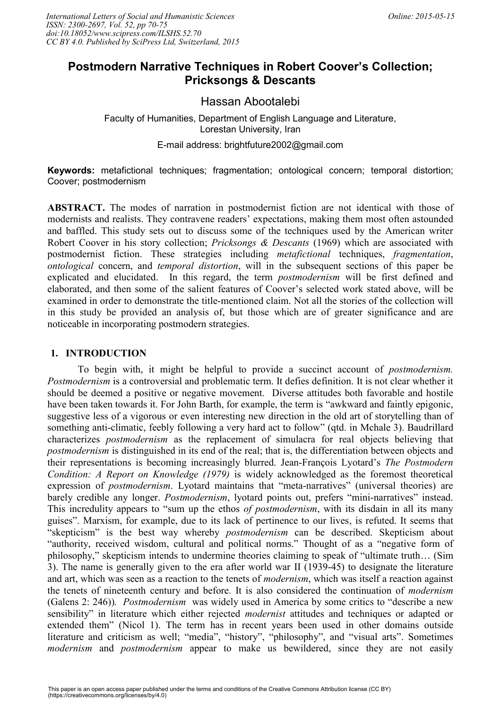# **Postmodern Narrative Techniques in Robert Coover's Collection; Pricksongs & Descants**

## Hassan Abootalebi

Faculty of Humanities, Department of English Language and Literature, Lorestan University, Iran

E-mail address: brightfuture2002@gmail.com

**Keywords:** metafictional techniques; fragmentation; ontological concern; temporal distortion; Coover; postmodernism

**ABSTRACT.** The modes of narration in postmodernist fiction are not identical with those of modernists and realists. They contravene readers' expectations, making them most often astounded and baffled. This study sets out to discuss some of the techniques used by the American writer Robert Coover in his story collection; *Pricksongs & Descants* (1969) which are associated with postmodernist fiction. These strategies including *metafictional* techniques, *fragmentation*, *ontological* concern, and *temporal distortion*, will in the subsequent sections of this paper be explicated and elucidated. In this regard, the term *postmodernism* will be first defined and elaborated, and then some of the salient features of Coover's selected work stated above, will be examined in order to demonstrate the title-mentioned claim. Not all the stories of the collection will in this study be provided an analysis of, but those which are of greater significance and are noticeable in incorporating postmodern strategies.

### **1. INTRODUCTION**

To begin with, it might be helpful to provide a succinct account of *postmodernism. Postmodernism* is a controversial and problematic term. It defies definition. It is not clear whether it should be deemed a positive or negative movement. Diverse attitudes both favorable and hostile have been taken towards it. For John Barth, for example, the term is "awkward and faintly epigonic, suggestive less of a vigorous or even interesting new direction in the old art of storytelling than of something anti-climatic, feebly following a very hard act to follow" (qtd. in Mchale 3). Baudrillard characterizes *postmodernism* as the replacement of simulacra for real objects believing that *postmodernism* is distinguished in its end of the real; that is, the differentiation between objects and their representations is becoming increasingly blurred. Jean-François Lyotard's *The Postmodern Condition: A Report on Knowledge (1979)* is widely acknowledged as the foremost theoretical expression of *postmodernism*. Lyotard maintains that "meta-narratives" (universal theories) are barely credible any longer. *Postmodernism*, lyotard points out, prefers "mini-narratives" instead. This incredulity appears to "sum up the ethos *of postmodernism*, with its disdain in all its many guises". Marxism, for example, due to its lack of pertinence to our lives, is refuted. It seems that "skepticism" is the best way whereby *postmodernism* can be described. Skepticism about "authority, received wisdom, cultural and political norms." Thought of as a "negative form of philosophy," skepticism intends to undermine theories claiming to speak of "ultimate truth… (Sim 3). The name is generally given to the era after world war ІІ (1939-45) to designate the literature and art, which was seen as a reaction to the tenets of *modernism*, which was itself a reaction against the tenets of nineteenth century and before. It is also considered the continuation of *modernism* (Galens 2: 246))*. Postmodernism* was widely used in America by some critics to "describe a new sensibility" in literature which either rejected *modernist* attitudes and techniques or adapted or extended them" (Nicol 1). The term has in recent years been used in other domains outside literature and criticism as well; "media", "history", "philosophy", and "visual arts". Sometimes *modernism* and *postmodernism* appear to make us bewildered, since they are not easily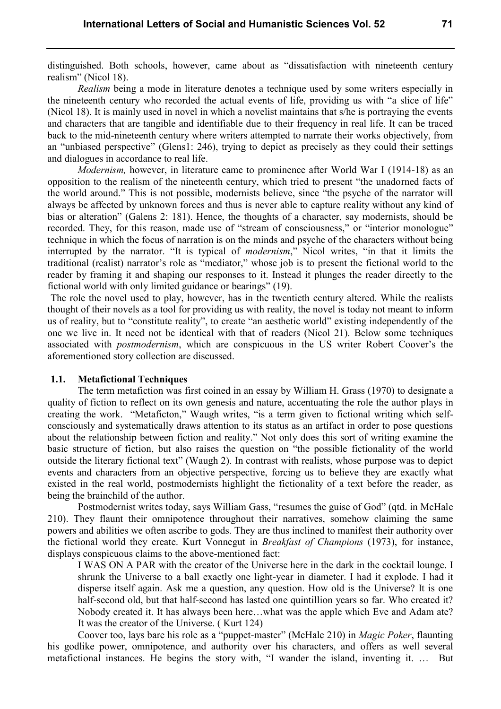distinguished. Both schools, however, came about as "dissatisfaction with nineteenth century realism" (Nicol 18).

*Realism* being a mode in literature denotes a technique used by some writers especially in the nineteenth century who recorded the actual events of life, providing us with "a slice of life" (Nicol 18). It is mainly used in novel in which a novelist maintains that s/he is portraying the events and characters that are tangible and identifiable due to their frequency in real life. It can be traced back to the mid-nineteenth century where writers attempted to narrate their works objectively, from an "unbiased perspective" (Glens1: 246), trying to depict as precisely as they could their settings and dialogues in accordance to real life.

*Modernism, however, in literature came to prominence after World War I (1914-18) as an* opposition to the realism of the nineteenth century, which tried to present "the unadorned facts of the world around." This is not possible, modernists believe, since "the psyche of the narrator will always be affected by unknown forces and thus is never able to capture reality without any kind of bias or alteration" (Galens 2: 181). Hence, the thoughts of a character, say modernists, should be recorded. They, for this reason, made use of "stream of consciousness," or "interior monologue" technique in which the focus of narration is on the minds and psyche of the characters without being interrupted by the narrator. "It is typical of *modernism*," Nicol writes, "in that it limits the traditional (realist) narrator's role as "mediator," whose job is to present the fictional world to the reader by framing it and shaping our responses to it. Instead it plunges the reader directly to the fictional world with only limited guidance or bearings" (19).

The role the novel used to play, however, has in the twentieth century altered. While the realists thought of their novels as a tool for providing us with reality, the novel is today not meant to inform us of reality, but to "constitute reality", to create "an aesthetic world" existing independently of the one we live in. It need not be identical with that of readers (Nicol 21). Below some techniques associated with *postmodernism*, which are conspicuous in the US writer Robert Coover's the aforementioned story collection are discussed.

#### **1.1. Metafictional Techniques**

The term metafiction was first coined in an essay by William H. Grass (1970) to designate a quality of fiction to reflect on its own genesis and nature, accentuating the role the author plays in creating the work. "Metaficton," Waugh writes, "is a term given to fictional writing which selfconsciously and systematically draws attention to its status as an artifact in order to pose questions about the relationship between fiction and reality." Not only does this sort of writing examine the basic structure of fiction, but also raises the question on "the possible fictionality of the world outside the literary fictional text" (Waugh 2). In contrast with realists, whose purpose was to depict events and characters from an objective perspective, forcing us to believe they are exactly what existed in the real world, postmodernists highlight the fictionality of a text before the reader, as being the brainchild of the author.

Postmodernist writes today, says William Gass, "resumes the guise of God" (qtd. in McHale 210). They flaunt their omnipotence throughout their narratives, somehow claiming the same powers and abilities we often ascribe to gods. They are thus inclined to manifest their authority over the fictional world they create. Kurt Vonnegut in *Breakfast of Champions* (1973), for instance, displays conspicuous claims to the above-mentioned fact:

I WAS ON A PAR with the creator of the Universe here in the dark in the cocktail lounge. I shrunk the Universe to a ball exactly one light-year in diameter. I had it explode. I had it disperse itself again. Ask me a question, any question. How old is the Universe? It is one half-second old, but that half-second has lasted one quintillion years so far. Who created it? Nobody created it. It has always been here…what was the apple which Eve and Adam ate? It was the creator of the Universe. ( Kurt 124)

Coover too, lays bare his role as a "puppet-master" (McHale 210) in *Magic Poker*, flaunting his godlike power, omnipotence, and authority over his characters, and offers as well several metafictional instances. He begins the story with, "I wander the island, inventing it. … But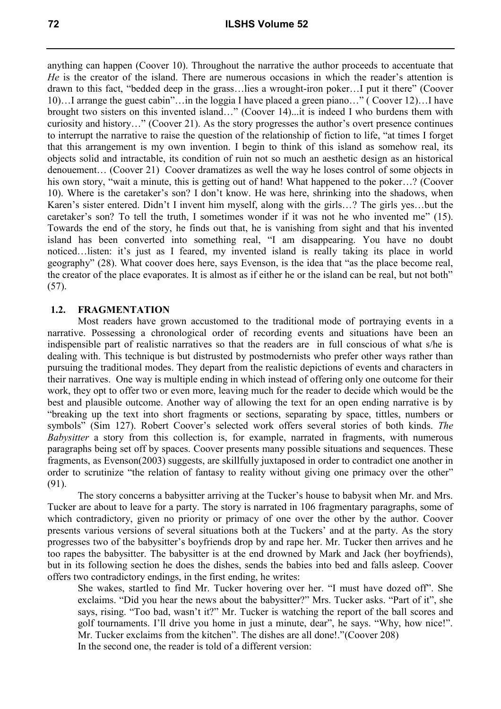anything can happen (Coover 10). Throughout the narrative the author proceeds to accentuate that *He* is the creator of the island. There are numerous occasions in which the reader's attention is drawn to this fact, "bedded deep in the grass…lies a wrought-iron poker…I put it there" (Coover 10)…I arrange the guest cabin"…in the loggia I have placed a green piano…" ( Coover 12)…I have brought two sisters on this invented island…" (Coover 14)...it is indeed I who burdens them with curiosity and history…" (Coover 21). As the story progresses the author's overt presence continues to interrupt the narrative to raise the question of the relationship of fiction to life, "at times I forget that this arrangement is my own invention. I begin to think of this island as somehow real, its objects solid and intractable, its condition of ruin not so much an aesthetic design as an historical denouement… (Coover 21) Coover dramatizes as well the way he loses control of some objects in his own story, "wait a minute, this is getting out of hand! What happened to the poker...? (Coover 10). Where is the caretaker's son? I don't know. He was here, shrinking into the shadows, when Karen's sister entered. Didn't I invent him myself, along with the girls…? The girls yes…but the caretaker's son? To tell the truth, I sometimes wonder if it was not he who invented me" (15). Towards the end of the story, he finds out that, he is vanishing from sight and that his invented island has been converted into something real, "I am disappearing. You have no doubt noticed…listen: it's just as I feared, my invented island is really taking its place in world geography" (28). What coover does here, says Evenson, is the idea that "as the place become real, the creator of the place evaporates. It is almost as if either he or the island can be real, but not both" (57).

## **1.2. FRAGMENTATION**

Most readers have grown accustomed to the traditional mode of portraying events in a narrative. Possessing a chronological order of recording events and situations have been an indispensible part of realistic narratives so that the readers are in full conscious of what s/he is dealing with. This technique is but distrusted by postmodernists who prefer other ways rather than pursuing the traditional modes. They depart from the realistic depictions of events and characters in their narratives. One way is multiple ending in which instead of offering only one outcome for their work, they opt to offer two or even more, leaving much for the reader to decide which would be the best and plausible outcome. Another way of allowing the text for an open ending narrative is by "breaking up the text into short fragments or sections, separating by space, tittles, numbers or symbols" (Sim 127). Robert Coover's selected work offers several stories of both kinds. *The Babysitter* a story from this collection is, for example, narrated in fragments, with numerous paragraphs being set off by spaces. Coover presents many possible situations and sequences. These fragments, as Evenson(2003) suggests, are skillfully juxtaposed in order to contradict one another in order to scrutinize "the relation of fantasy to reality without giving one primacy over the other" (91).

The story concerns a babysitter arriving at the Tucker's house to babysit when Mr. and Mrs. Tucker are about to leave for a party. The story is narrated in 106 fragmentary paragraphs, some of which contradictory, given no priority or primacy of one over the other by the author. Coover presents various versions of several situations both at the Tuckers' and at the party. As the story progresses two of the babysitter's boyfriends drop by and rape her. Mr. Tucker then arrives and he too rapes the babysitter. The babysitter is at the end drowned by Mark and Jack (her boyfriends), but in its following section he does the dishes, sends the babies into bed and falls asleep. Coover offers two contradictory endings, in the first ending, he writes:

She wakes, startled to find Mr. Tucker hovering over her. "I must have dozed off". She exclaims. "Did you hear the news about the babysitter?" Mrs. Tucker asks. "Part of it", she says, rising. "Too bad, wasn't it?" Mr. Tucker is watching the report of the ball scores and golf tournaments. I'll drive you home in just a minute, dear", he says. "Why, how nice!". Mr. Tucker exclaims from the kitchen". The dishes are all done!."(Coover 208) In the second one, the reader is told of a different version: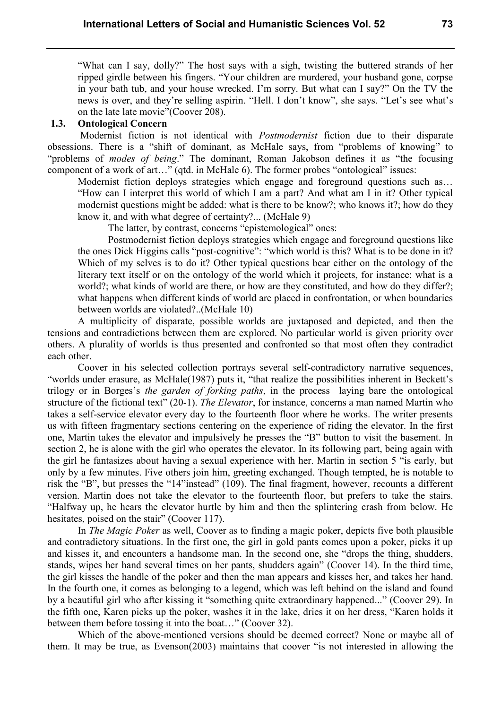"What can I say, dolly?" The host says with a sigh, twisting the buttered strands of her ripped girdle between his fingers. "Your children are murdered, your husband gone, corpse in your bath tub, and your house wrecked. I'm sorry. But what can I say?" On the TV the news is over, and they're selling aspirin. "Hell. I don't know", she says. "Let's see what's on the late late movie"(Coover 208).

### **1.3. Ontological Concern**

Modernist fiction is not identical with *Postmodernist* fiction due to their disparate obsessions. There is a "shift of dominant, as McHale says, from "problems of knowing" to "problems of *modes of being*." The dominant, Roman Jakobson defines it as "the focusing component of a work of art…" (qtd. in McHale 6). The former probes "ontological" issues:

Modernist fiction deploys strategies which engage and foreground questions such as... "How can I interpret this world of which I am a part? And what am I in it? Other typical modernist questions might be added: what is there to be know?; who knows it?; how do they know it, and with what degree of certainty?... (McHale 9)

The latter, by contrast, concerns "epistemological" ones:

Postmodernist fiction deploys strategies which engage and foreground questions like the ones Dick Higgins calls "post-cognitive": "which world is this? What is to be done in it? Which of my selves is to do it? Other typical questions bear either on the ontology of the literary text itself or on the ontology of the world which it projects, for instance: what is a world?; what kinds of world are there, or how are they constituted, and how do they differ?; what happens when different kinds of world are placed in confrontation, or when boundaries between worlds are violated?..(McHale 10)

A multiplicity of disparate, possible worlds are juxtaposed and depicted, and then the tensions and contradictions between them are explored. No particular world is given priority over others. A plurality of worlds is thus presented and confronted so that most often they contradict each other.

Coover in his selected collection portrays several self-contradictory narrative sequences, "worlds under erasure, as McHale(1987) puts it, "that realize the possibilities inherent in Beckett's trilogy or in Borges's *the garden of forking paths*, in the process laying bare the ontological structure of the fictional text" (20-1). *The Elevator*, for instance, concerns a man named Martin who takes a self-service elevator every day to the fourteenth floor where he works. The writer presents us with fifteen fragmentary sections centering on the experience of riding the elevator. In the first one, Martin takes the elevator and impulsively he presses the "B" button to visit the basement. In section 2, he is alone with the girl who operates the elevator. In its following part, being again with the girl he fantasizes about having a sexual experience with her. Martin in section 5 "is early, but only by a few minutes. Five others join him, greeting exchanged. Though tempted, he is notable to risk the "B", but presses the "14"instead" (109). The final fragment, however, recounts a different version. Martin does not take the elevator to the fourteenth floor, but prefers to take the stairs. "Halfway up, he hears the elevator hurtle by him and then the splintering crash from below. He hesitates, poised on the stair" (Coover 117).

In *The Magic Poker* as well, Coover as to finding a magic poker, depicts five both plausible and contradictory situations. In the first one, the girl in gold pants comes upon a poker, picks it up and kisses it, and encounters a handsome man. In the second one, she "drops the thing, shudders, stands, wipes her hand several times on her pants, shudders again" (Coover 14). In the third time, the girl kisses the handle of the poker and then the man appears and kisses her, and takes her hand. In the fourth one, it comes as belonging to a legend, which was left behind on the island and found by a beautiful girl who after kissing it "something quite extraordinary happened..." (Coover 29). In the fifth one, Karen picks up the poker, washes it in the lake, dries it on her dress, "Karen holds it between them before tossing it into the boat…" (Coover 32).

Which of the above-mentioned versions should be deemed correct? None or maybe all of them. It may be true, as Evenson(2003) maintains that coover "is not interested in allowing the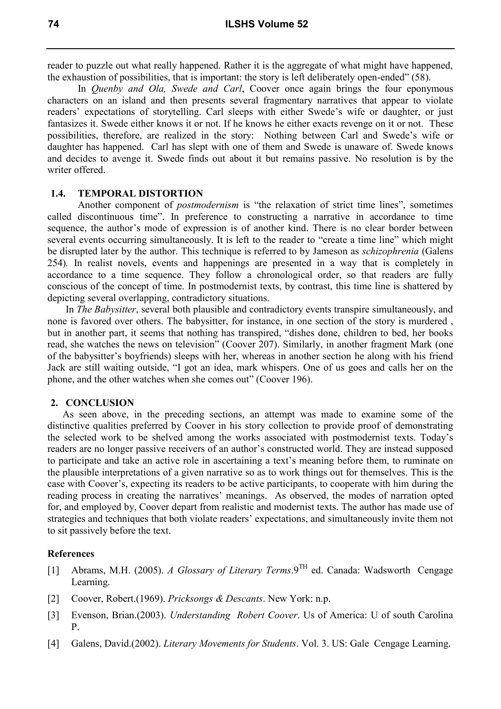reader to puzzle out what really happened. Rather it is the aggregate of what might have happened, the exhaustion of possibilities, that is important: the story is left deliberately open-ended" (58).

In *Quenby and Ola, Swede and Carl*, Coover once again brings the four eponymous characters on an island and then presents several fragmentary narratives that appear to violate readers' expectations of storytelling. Carl sleeps with either Swede's wife or daughter, or just fantasizes it. Swede either knows it or not. If he knows he either exacts revenge on it or not. These possibilities, therefore, are realized in the story: Nothing between Carl and Swede's wife or daughter has happened. Carl has slept with one of them and Swede is unaware of. Swede knows and decides to avenge it. Swede finds out about it but remains passive. No resolution is by the writer offered.

#### **1.4. TEMPORAL DISTORTION**

Another component of *postmodernism* is "the relaxation of strict time lines", sometimes called discontinuous time". In preference to constructing a narrative in accordance to time sequence, the author's mode of expression is of another kind. There is no clear border between several events occurring simultaneously. It is left to the reader to "create a time line" which might be disrupted later by the author. This technique is referred to by Jameson as *schizophrenia* (Galens 254)*.* In realist novels, events and happenings are presented in a way that is completely in accordance to a time sequence. They follow a chronological order, so that readers are fully conscious of the concept of time. In postmodernist texts, by contrast, this time line is shattered by depicting several overlapping, contradictory situations.

In *The Babysitter*, several both plausible and contradictory events transpire simultaneously, and none is favored over others. The babysitter, for instance, in one section of the story is murdered , but in another part, it seems that nothing has transpired, "dishes done, children to bed, her books read, she watches the news on television" (Coover 207). Similarly, in another fragment Mark (one of the babysitter's boyfriends) sleeps with her, whereas in another section he along with his friend Jack are still waiting outside, "I got an idea, mark whispers. One of us goes and calls her on the phone, and the other watches when she comes out" (Coover 196).

## **2. CONCLUSION**

As seen above, in the preceding sections, an attempt was made to examine some of the distinctive qualities preferred by Coover in his story collection to provide proof of demonstrating the selected work to be shelved among the works associated with postmodernist texts. Today's readers are no longer passive receivers of an author's constructed world. They are instead supposed to participate and take an active role in ascertaining a text's meaning before them, to ruminate on the plausible interpretations of a given narrative so as to work things out for themselves. This is the case with Coover's, expecting its readers to be active participants, to cooperate with him during the reading process in creating the narratives' meanings. As observed, the modes of narration opted for, and employed by, Coover depart from realistic and modernist texts. The author has made use of strategies and techniques that both violate readers' expectations, and simultaneously invite them not to sit passively before the text.

#### **References**

- [1] Abrams, M.H. (2005). *A Glossary of Literary Terms*.9TH ed. Canada: Wadsworth Cengage Learning.
- [2] Coover, Robert.(1969). *Pricksongs & Descants*. New York: n.p.
- [3] Evenson, Brian.(2003). *Understanding Robert Coover*. Us of America: U of south Carolina P.
- [4] Galens, David.(2002). *Literary Movements for Students*. Vol. 3. US: Gale Cengage Learning.